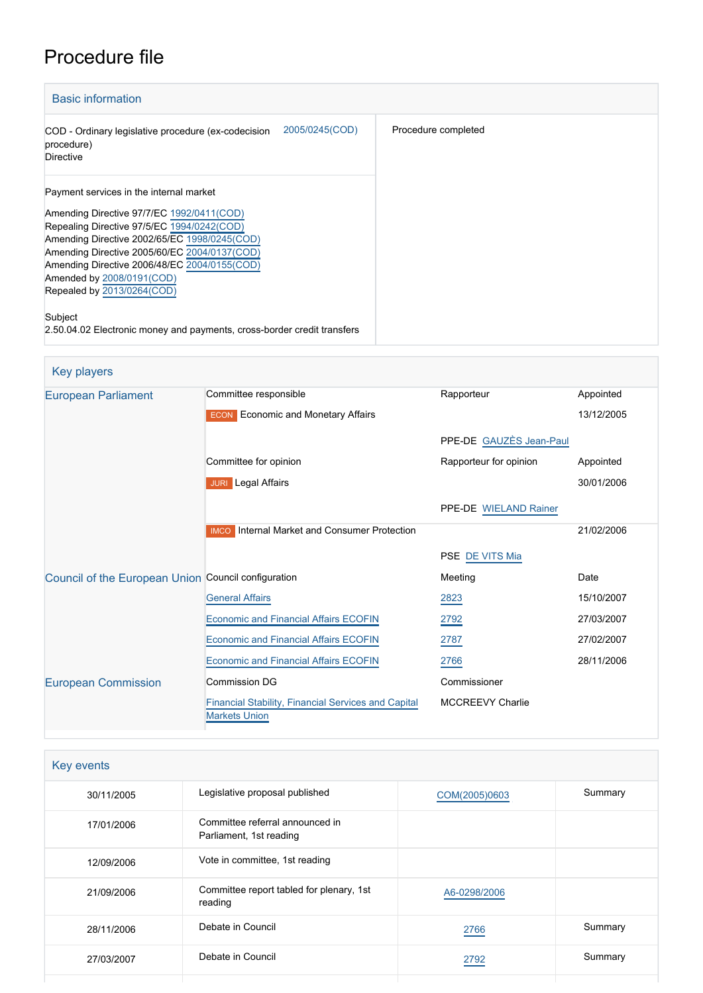# Procedure file

| <b>Basic information</b>                                                                                                                                                                                                           |                     |
|------------------------------------------------------------------------------------------------------------------------------------------------------------------------------------------------------------------------------------|---------------------|
| 2005/0245(COD)<br>COD - Ordinary legislative procedure (ex-codecision<br>procedure)<br><b>Directive</b>                                                                                                                            | Procedure completed |
| Payment services in the internal market<br>Amending Directive 97/7/EC 1992/0411(COD)<br>Repealing Directive 97/5/EC 1994/0242(COD)<br>Amending Directive 2002/65/EC 1998/0245(COD)<br>Amending Directive 2005/60/EC 2004/0137(COD) |                     |
| Amending Directive 2006/48/EC 2004/0155(COD)<br>Amended by 2008/0191(COD)<br>Repealed by 2013/0264(COD)                                                                                                                            |                     |
| Subject<br>2.50.04.02 Electronic money and payments, cross-border credit transfers                                                                                                                                                 |                     |

| Key players                                         |                                                        |                         |            |
|-----------------------------------------------------|--------------------------------------------------------|-------------------------|------------|
| <b>European Parliament</b>                          | Committee responsible                                  | Rapporteur              | Appointed  |
|                                                     | <b>ECON</b> Economic and Monetary Affairs              |                         | 13/12/2005 |
|                                                     |                                                        | PPE-DE GAUZÈS Jean-Paul |            |
|                                                     | Committee for opinion                                  | Rapporteur for opinion  | Appointed  |
|                                                     | <b>JURI</b> Legal Affairs                              |                         | 30/01/2006 |
|                                                     |                                                        | PPE-DE WIELAND Rainer   |            |
|                                                     | Internal Market and Consumer Protection<br><b>IMCO</b> |                         | 21/02/2006 |
|                                                     |                                                        | PSE DE VITS Mia         |            |
| Council of the European Union Council configuration |                                                        | Meeting                 | Date       |
|                                                     | <b>General Affairs</b>                                 | 2823                    | 15/10/2007 |
|                                                     | Economic and Financial Affairs ECOFIN                  | 2792                    | 27/03/2007 |
|                                                     | <b>Economic and Financial Affairs ECOFIN</b>           | 2787                    | 27/02/2007 |
|                                                     | <b>Economic and Financial Affairs ECOFIN</b>           | 2766                    | 28/11/2006 |
| <b>European Commission</b>                          | <b>Commission DG</b>                                   | Commissioner            |            |
|                                                     | Financial Stability, Financial Services and Capital    | <b>MCCREEVY Charlie</b> |            |

| Key events |                                                            |               |         |  |  |  |
|------------|------------------------------------------------------------|---------------|---------|--|--|--|
| 30/11/2005 | Legislative proposal published                             | COM(2005)0603 | Summary |  |  |  |
| 17/01/2006 | Committee referral announced in<br>Parliament, 1st reading |               |         |  |  |  |
| 12/09/2006 | Vote in committee, 1st reading                             |               |         |  |  |  |
| 21/09/2006 | Committee report tabled for plenary, 1st<br>reading        | A6-0298/2006  |         |  |  |  |
| 28/11/2006 | Debate in Council                                          | 2766          | Summary |  |  |  |
| 27/03/2007 | Debate in Council                                          | 2792          | Summary |  |  |  |
|            |                                                            |               |         |  |  |  |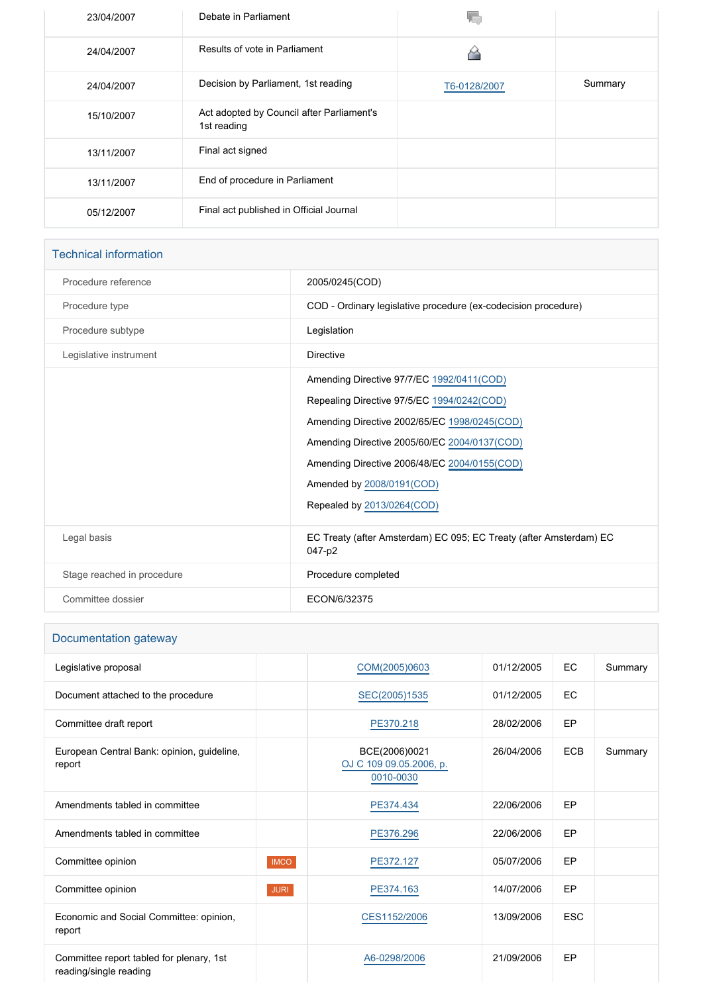| 23/04/2007 | Debate in Parliament                                     |              |         |
|------------|----------------------------------------------------------|--------------|---------|
| 24/04/2007 | Results of vote in Parliament                            | ۵            |         |
| 24/04/2007 | Decision by Parliament, 1st reading                      | T6-0128/2007 | Summary |
| 15/10/2007 | Act adopted by Council after Parliament's<br>1st reading |              |         |
| 13/11/2007 | Final act signed                                         |              |         |
| 13/11/2007 | End of procedure in Parliament                           |              |         |
| 05/12/2007 | Final act published in Official Journal                  |              |         |

### Technical information

| Procedure reference<br>2005/0245(COD)<br>COD - Ordinary legislative procedure (ex-codecision procedure)<br>Procedure type<br>Procedure subtype<br>Legislation<br>Legislative instrument<br><b>Directive</b><br>Amending Directive 97/7/EC 1992/0411(COD)<br>Repealing Directive 97/5/EC 1994/0242(COD)<br>Amending Directive 2002/65/EC 1998/0245(COD)<br>Amending Directive 2005/60/EC 2004/0137(COD)<br>Amending Directive 2006/48/EC 2004/0155(COD)<br>Amended by 2008/0191(COD)<br>Repealed by 2013/0264(COD)<br>Legal basis<br>EC Treaty (after Amsterdam) EC 095; EC Treaty (after Amsterdam) EC<br>047-p2<br>Stage reached in procedure<br>Procedure completed<br>Committee dossier<br>ECON/6/32375 |  |
|------------------------------------------------------------------------------------------------------------------------------------------------------------------------------------------------------------------------------------------------------------------------------------------------------------------------------------------------------------------------------------------------------------------------------------------------------------------------------------------------------------------------------------------------------------------------------------------------------------------------------------------------------------------------------------------------------------|--|
|                                                                                                                                                                                                                                                                                                                                                                                                                                                                                                                                                                                                                                                                                                            |  |
|                                                                                                                                                                                                                                                                                                                                                                                                                                                                                                                                                                                                                                                                                                            |  |
|                                                                                                                                                                                                                                                                                                                                                                                                                                                                                                                                                                                                                                                                                                            |  |
|                                                                                                                                                                                                                                                                                                                                                                                                                                                                                                                                                                                                                                                                                                            |  |
|                                                                                                                                                                                                                                                                                                                                                                                                                                                                                                                                                                                                                                                                                                            |  |
|                                                                                                                                                                                                                                                                                                                                                                                                                                                                                                                                                                                                                                                                                                            |  |
|                                                                                                                                                                                                                                                                                                                                                                                                                                                                                                                                                                                                                                                                                                            |  |
|                                                                                                                                                                                                                                                                                                                                                                                                                                                                                                                                                                                                                                                                                                            |  |
|                                                                                                                                                                                                                                                                                                                                                                                                                                                                                                                                                                                                                                                                                                            |  |
|                                                                                                                                                                                                                                                                                                                                                                                                                                                                                                                                                                                                                                                                                                            |  |
|                                                                                                                                                                                                                                                                                                                                                                                                                                                                                                                                                                                                                                                                                                            |  |
|                                                                                                                                                                                                                                                                                                                                                                                                                                                                                                                                                                                                                                                                                                            |  |
|                                                                                                                                                                                                                                                                                                                                                                                                                                                                                                                                                                                                                                                                                                            |  |
|                                                                                                                                                                                                                                                                                                                                                                                                                                                                                                                                                                                                                                                                                                            |  |

| Documentation gateway                                              |             |                                                       |            |            |         |
|--------------------------------------------------------------------|-------------|-------------------------------------------------------|------------|------------|---------|
| Legislative proposal                                               |             | COM(2005)0603                                         | 01/12/2005 | EC         | Summary |
| Document attached to the procedure                                 |             | SEC(2005)1535                                         | 01/12/2005 | EC         |         |
| Committee draft report                                             |             | PE370.218                                             | 28/02/2006 | <b>EP</b>  |         |
| European Central Bank: opinion, guideline,<br>report               |             | BCE(2006)0021<br>OJ C 109 09.05.2006, p.<br>0010-0030 | 26/04/2006 | <b>ECB</b> | Summary |
| Amendments tabled in committee                                     |             | PE374.434                                             | 22/06/2006 | EP         |         |
| Amendments tabled in committee                                     |             | PE376.296                                             | 22/06/2006 | EP         |         |
| Committee opinion                                                  | <b>IMCO</b> | PE372.127                                             | 05/07/2006 | <b>EP</b>  |         |
| Committee opinion                                                  | <b>JURI</b> | PE374.163                                             | 14/07/2006 | <b>EP</b>  |         |
| Economic and Social Committee: opinion,<br>report                  |             | CES1152/2006                                          | 13/09/2006 | <b>ESC</b> |         |
| Committee report tabled for plenary, 1st<br>reading/single reading |             | A6-0298/2006                                          | 21/09/2006 | <b>EP</b>  |         |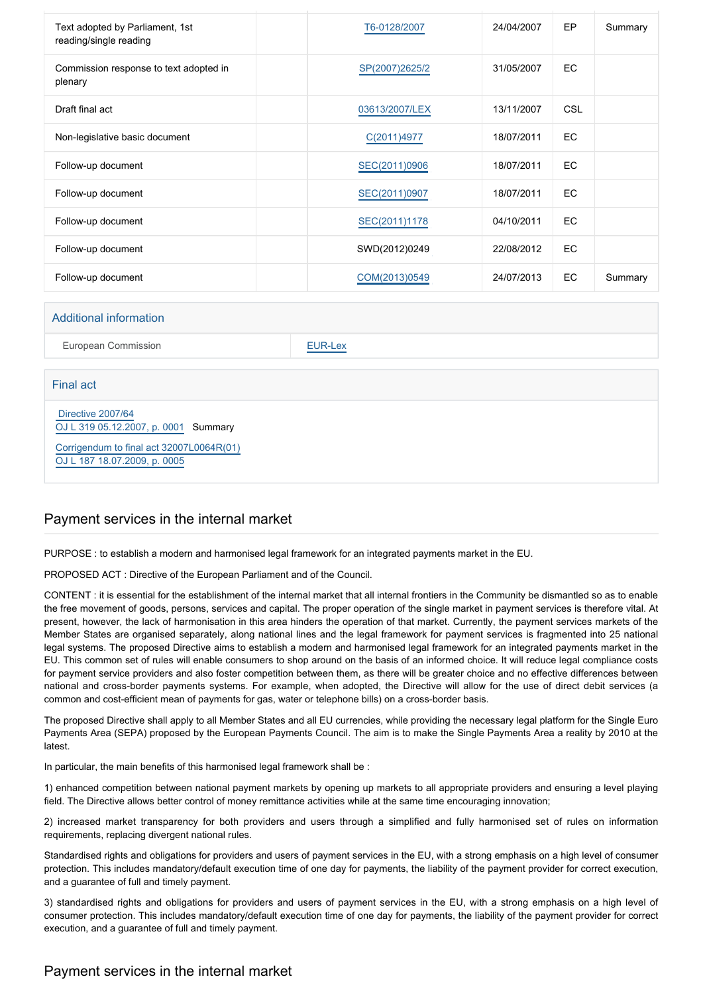| Text adopted by Parliament, 1st<br>reading/single reading |  | T6-0128/2007   | 24/04/2007 | EP         | Summary |
|-----------------------------------------------------------|--|----------------|------------|------------|---------|
| Commission response to text adopted in<br>plenary         |  | SP(2007)2625/2 | 31/05/2007 | EC         |         |
| Draft final act                                           |  | 03613/2007/LEX | 13/11/2007 | <b>CSL</b> |         |
| Non-legislative basic document                            |  | C(2011)4977    | 18/07/2011 | <b>EC</b>  |         |
| Follow-up document                                        |  | SEC(2011)0906  | 18/07/2011 | <b>EC</b>  |         |
| Follow-up document                                        |  | SEC(2011)0907  | 18/07/2011 | <b>EC</b>  |         |
| Follow-up document                                        |  | SEC(2011)1178  | 04/10/2011 | <b>EC</b>  |         |
| Follow-up document                                        |  | SWD(2012)0249  | 22/08/2012 | <b>EC</b>  |         |
| Follow-up document                                        |  | COM(2013)0549  | 24/07/2013 | EC         | Summary |
|                                                           |  |                |            |            |         |
| Additional information                                    |  |                |            |            |         |

European Commission **[EUR-Lex](http://ec.europa.eu/prelex/liste_resultats.cfm?CL=en&ReqId=0&DocType=COD&DocYear=2005&DocNum=0245)** 

#### Final act

 [Directive 2007/64](https://eur-lex.europa.eu/smartapi/cgi/sga_doc?smartapi!celexplus!prod!CELEXnumdoc&lg=EN&numdoc=32007L0064) [OJ L 319 05.12.2007, p. 0001](https://eur-lex.europa.eu/JOHtml.do?uri=OJ:L:2007:319:SOM:EN:HTML) Summary

[Corrigendum to final act 32007L0064R\(01\)](https://eur-lex.europa.eu/LexUriServ/LexUriServ.do?uri=CELEX:[%SECTOR]2007[%DESCRIPTOR]3006401:EN:NOT) [OJ L 187 18.07.2009, p. 0005](https://eur-lex.europa.eu/legal-content/EN/TXT/?uri=OJ:L:2009:187:TOC)

# Payment services in the internal market

PURPOSE : to establish a modern and harmonised legal framework for an integrated payments market in the EU.

PROPOSED ACT : Directive of the European Parliament and of the Council.

CONTENT : it is essential for the establishment of the internal market that all internal frontiers in the Community be dismantled so as to enable the free movement of goods, persons, services and capital. The proper operation of the single market in payment services is therefore vital. At present, however, the lack of harmonisation in this area hinders the operation of that market. Currently, the payment services markets of the Member States are organised separately, along national lines and the legal framework for payment services is fragmented into 25 national legal systems. The proposed Directive aims to establish a modern and harmonised legal framework for an integrated payments market in the EU. This common set of rules will enable consumers to shop around on the basis of an informed choice. It will reduce legal compliance costs for payment service providers and also foster competition between them, as there will be greater choice and no effective differences between national and cross-border payments systems. For example, when adopted, the Directive will allow for the use of direct debit services (a common and cost-efficient mean of payments for gas, water or telephone bills) on a cross-border basis.

The proposed Directive shall apply to all Member States and all EU currencies, while providing the necessary legal platform for the Single Euro Payments Area (SEPA) proposed by the European Payments Council. The aim is to make the Single Payments Area a reality by 2010 at the latest.

In particular, the main benefits of this harmonised legal framework shall be :

1) enhanced competition between national payment markets by opening up markets to all appropriate providers and ensuring a level playing field. The Directive allows better control of money remittance activities while at the same time encouraging innovation;

2) increased market transparency for both providers and users through a simplified and fully harmonised set of rules on information requirements, replacing divergent national rules.

Standardised rights and obligations for providers and users of payment services in the EU, with a strong emphasis on a high level of consumer protection. This includes mandatory/default execution time of one day for payments, the liability of the payment provider for correct execution, and a guarantee of full and timely payment.

3) standardised rights and obligations for providers and users of payment services in the EU, with a strong emphasis on a high level of consumer protection. This includes mandatory/default execution time of one day for payments, the liability of the payment provider for correct execution, and a guarantee of full and timely payment.

# Payment services in the internal market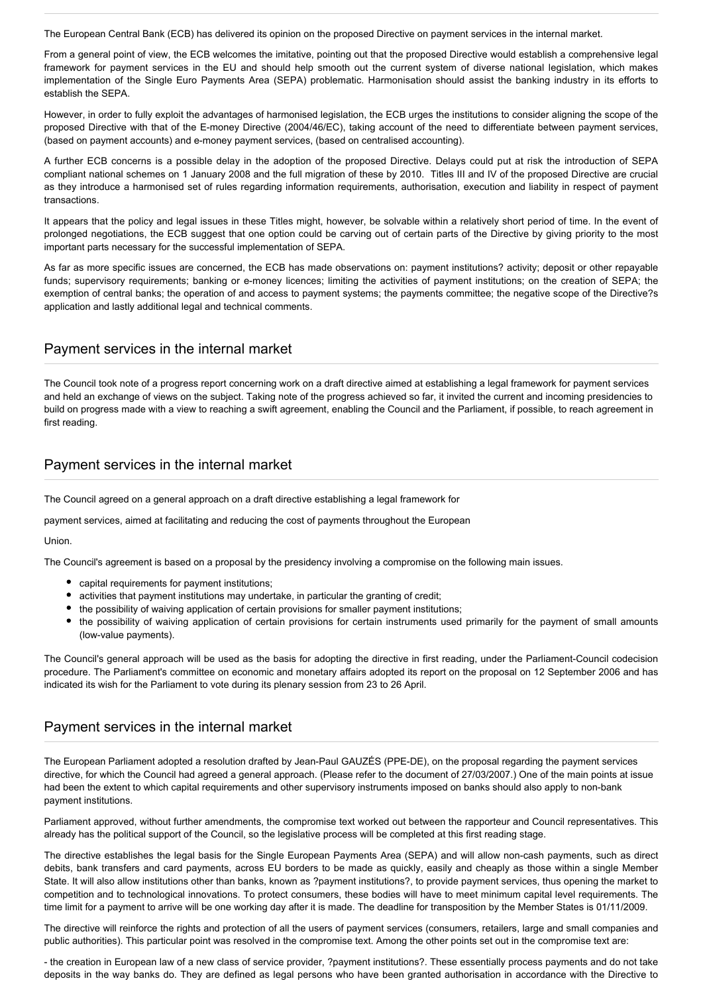The European Central Bank (ECB) has delivered its opinion on the proposed Directive on payment services in the internal market.

From a general point of view, the ECB welcomes the imitative, pointing out that the proposed Directive would establish a comprehensive legal framework for payment services in the EU and should help smooth out the current system of diverse national legislation, which makes implementation of the Single Euro Payments Area (SEPA) problematic. Harmonisation should assist the banking industry in its efforts to establish the SEPA.

However, in order to fully exploit the advantages of harmonised legislation, the ECB urges the institutions to consider aligning the scope of the proposed Directive with that of the E-money Directive (2004/46/EC), taking account of the need to differentiate between payment services, (based on payment accounts) and e-money payment services, (based on centralised accounting).

A further ECB concerns is a possible delay in the adoption of the proposed Directive. Delays could put at risk the introduction of SEPA compliant national schemes on 1 January 2008 and the full migration of these by 2010. Titles III and IV of the proposed Directive are crucial as they introduce a harmonised set of rules regarding information requirements, authorisation, execution and liability in respect of payment transactions.

It appears that the policy and legal issues in these Titles might, however, be solvable within a relatively short period of time. In the event of prolonged negotiations, the ECB suggest that one option could be carving out of certain parts of the Directive by giving priority to the most important parts necessary for the successful implementation of SEPA.

As far as more specific issues are concerned, the ECB has made observations on: payment institutions? activity; deposit or other repayable funds; supervisory requirements; banking or e-money licences; limiting the activities of payment institutions; on the creation of SEPA; the exemption of central banks; the operation of and access to payment systems; the payments committee; the negative scope of the Directive?s application and lastly additional legal and technical comments.

### Payment services in the internal market

The Council took note of a progress report concerning work on a draft directive aimed at establishing a legal framework for payment services and held an exchange of views on the subject. Taking note of the progress achieved so far, it invited the current and incoming presidencies to build on progress made with a view to reaching a swift agreement, enabling the Council and the Parliament, if possible, to reach agreement in first reading.

# Payment services in the internal market

The Council agreed on a general approach on a draft directive establishing a legal framework for

payment services, aimed at facilitating and reducing the cost of payments throughout the European

**Union** 

The Council's agreement is based on a proposal by the presidency involving a compromise on the following main issues.

- capital requirements for payment institutions:
- activities that payment institutions may undertake, in particular the granting of credit;
- the possibility of waiving application of certain provisions for smaller payment institutions;
- the possibility of waiving application of certain provisions for certain instruments used primarily for the payment of small amounts (low-value payments).

The Council's general approach will be used as the basis for adopting the directive in first reading, under the Parliament-Council codecision procedure. The Parliament's committee on economic and monetary affairs adopted its report on the proposal on 12 September 2006 and has indicated its wish for the Parliament to vote during its plenary session from 23 to 26 April.

# Payment services in the internal market

The European Parliament adopted a resolution drafted by Jean-Paul GAUZÉS (PPE-DE), on the proposal regarding the payment services directive, for which the Council had agreed a general approach. (Please refer to the document of 27/03/2007.) One of the main points at issue had been the extent to which capital requirements and other supervisory instruments imposed on banks should also apply to non-bank payment institutions.

Parliament approved, without further amendments, the compromise text worked out between the rapporteur and Council representatives. This already has the political support of the Council, so the legislative process will be completed at this first reading stage.

The directive establishes the legal basis for the Single European Payments Area (SEPA) and will allow non-cash payments, such as direct debits, bank transfers and card payments, across EU borders to be made as quickly, easily and cheaply as those within a single Member State. It will also allow institutions other than banks, known as ?payment institutions?, to provide payment services, thus opening the market to competition and to technological innovations. To protect consumers, these bodies will have to meet minimum capital level requirements. The time limit for a payment to arrive will be one working day after it is made. The deadline for transposition by the Member States is 01/11/2009.

The directive will reinforce the rights and protection of all the users of payment services (consumers, retailers, large and small companies and public authorities). This particular point was resolved in the compromise text. Among the other points set out in the compromise text are:

- the creation in European law of a new class of service provider, ?payment institutions?. These essentially process payments and do not take deposits in the way banks do. They are defined as legal persons who have been granted authorisation in accordance with the Directive to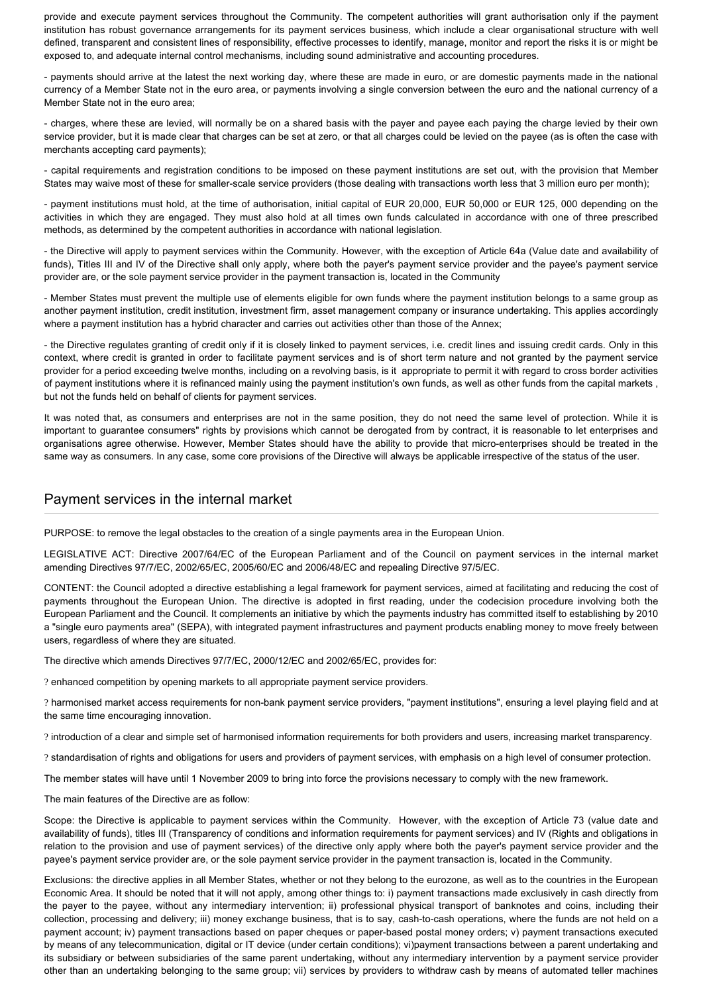provide and execute payment services throughout the Community. The competent authorities will grant authorisation only if the payment institution has robust governance arrangements for its payment services business, which include a clear organisational structure with well defined, transparent and consistent lines of responsibility, effective processes to identify, manage, monitor and report the risks it is or might be exposed to, and adequate internal control mechanisms, including sound administrative and accounting procedures.

- payments should arrive at the latest the next working day, where these are made in euro, or are domestic payments made in the national currency of a Member State not in the euro area, or payments involving a single conversion between the euro and the national currency of a Member State not in the euro area;

- charges, where these are levied, will normally be on a shared basis with the payer and payee each paying the charge levied by their own service provider, but it is made clear that charges can be set at zero, or that all charges could be levied on the payee (as is often the case with merchants accepting card payments);

- capital requirements and registration conditions to be imposed on these payment institutions are set out, with the provision that Member States may waive most of these for smaller-scale service providers (those dealing with transactions worth less that 3 million euro per month);

- payment institutions must hold, at the time of authorisation, initial capital of EUR 20,000, EUR 50,000 or EUR 125, 000 depending on the activities in which they are engaged. They must also hold at all times own funds calculated in accordance with one of three prescribed methods, as determined by the competent authorities in accordance with national legislation.

- the Directive will apply to payment services within the Community. However, with the exception of Article 64a (Value date and availability of funds), Titles III and IV of the Directive shall only apply, where both the payer's payment service provider and the payee's payment service provider are, or the sole payment service provider in the payment transaction is, located in the Community

- Member States must prevent the multiple use of elements eligible for own funds where the payment institution belongs to a same group as another payment institution, credit institution, investment firm, asset management company or insurance undertaking. This applies accordingly where a payment institution has a hybrid character and carries out activities other than those of the Annex;

- the Directive regulates granting of credit only if it is closely linked to payment services, i.e. credit lines and issuing credit cards. Only in this context, where credit is granted in order to facilitate payment services and is of short term nature and not granted by the payment service provider for a period exceeding twelve months, including on a revolving basis, is it appropriate to permit it with regard to cross border activities of payment institutions where it is refinanced mainly using the payment institution's own funds, as well as other funds from the capital markets , but not the funds held on behalf of clients for payment services.

It was noted that, as consumers and enterprises are not in the same position, they do not need the same level of protection. While it is important to guarantee consumers" rights by provisions which cannot be derogated from by contract, it is reasonable to let enterprises and organisations agree otherwise. However, Member States should have the ability to provide that micro-enterprises should be treated in the same way as consumers. In any case, some core provisions of the Directive will always be applicable irrespective of the status of the user.

# Payment services in the internal market

PURPOSE: to remove the legal obstacles to the creation of a single payments area in the European Union.

LEGISLATIVE ACT: Directive 2007/64/EC of the European Parliament and of the Council on payment services in the internal market amending Directives 97/7/EC, 2002/65/EC, 2005/60/EC and 2006/48/EC and repealing Directive 97/5/EC.

CONTENT: the Council adopted a directive establishing a legal framework for payment services, aimed at facilitating and reducing the cost of payments throughout the European Union. The directive is adopted in first reading, under the codecision procedure involving both the European Parliament and the Council. It complements an initiative by which the payments industry has committed itself to establishing by 2010 a "single euro payments area" (SEPA), with integrated payment infrastructures and payment products enabling money to move freely between users, regardless of where they are situated.

The directive which amends Directives 97/7/EC, 2000/12/EC and 2002/65/EC, provides for:

? enhanced competition by opening markets to all appropriate payment service providers.

? harmonised market access requirements for non-bank payment service providers, "payment institutions", ensuring a level playing field and at the same time encouraging innovation.

? introduction of a clear and simple set of harmonised information requirements for both providers and users, increasing market transparency.

? standardisation of rights and obligations for users and providers of payment services, with emphasis on a high level of consumer protection.

The member states will have until 1 November 2009 to bring into force the provisions necessary to comply with the new framework.

The main features of the Directive are as follow:

Scope: the Directive is applicable to payment services within the Community. However, with the exception of Article 73 (value date and availability of funds), titles III (Transparency of conditions and information requirements for payment services) and IV (Rights and obligations in relation to the provision and use of payment services) of the directive only apply where both the payer's payment service provider and the payee's payment service provider are, or the sole payment service provider in the payment transaction is, located in the Community.

Exclusions: the directive applies in all Member States, whether or not they belong to the eurozone, as well as to the countries in the European Economic Area. It should be noted that it will not apply, among other things to: i) payment transactions made exclusively in cash directly from the payer to the payee, without any intermediary intervention; ii) professional physical transport of banknotes and coins, including their collection, processing and delivery; iii) money exchange business, that is to say, cash-to-cash operations, where the funds are not held on a payment account; iv) payment transactions based on paper cheques or paper-based postal money orders; v) payment transactions executed by means of any telecommunication, digital or IT device (under certain conditions); vi)payment transactions between a parent undertaking and its subsidiary or between subsidiaries of the same parent undertaking, without any intermediary intervention by a payment service provider other than an undertaking belonging to the same group; vii) services by providers to withdraw cash by means of automated teller machines